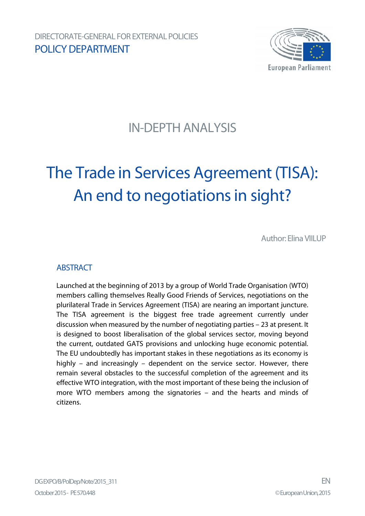

# IN-DEPTH ANALYSIS

# The Trade in Services Agreement (TISA): An end to negotiations in sight?

Author: Elina VIILUP

### **ABSTRACT**

Launched at the beginning of 2013 by a group of World Trade Organisation (WTO) members calling themselves Really Good Friends of Services, negotiations on the plurilateral Trade in Services Agreement (TISA) are nearing an important juncture. The TISA agreement is the biggest free trade agreement currently under discussion when measured by the number of negotiating parties – 23 at present. It is designed to boost liberalisation of the global services sector, moving beyond the current, outdated GATS provisions and unlocking huge economic potential. The EU undoubtedly has important stakes in these negotiations as its economy is highly – and increasingly – dependent on the service sector. However, there remain several obstacles to the successful completion of the agreement and its effective WTO integration, with the most important of these being the inclusion of more WTO members among the signatories – and the hearts and minds of citizens.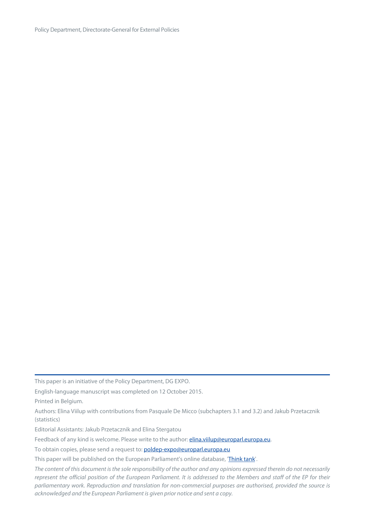Policy Department, Directorate-General for External Policies

This paper is an initiative of the Policy Department, DG EXPO.

English-language manuscript was completed on 12 October 2015.

Printed in Belgium.

Authors: Elina Viilup with contributions from Pasquale De Micco (subchapters 3.1 and 3.2) and Jakub Przetacznik (statistics)

Editorial Assistants: Jakub Przetacznik and Elina Stergatou

Feedback of any kind is welcome. Please write to the author: **elina.viilup@europarl.europa.eu**.

To obtain copies, please send a request to: [poldep-expo@europarl.europa.eu](mailto:poldep-expo@europarl.europa.eu)

This paper will be published on the European Parliament's online database, ['Think tank'](http://www.europarl.europa.eu/thinktank/en/home.html).

*The content of this document is the sole responsibility of the author and any opinions expressed therein do not necessarily represent the official position of the European Parliament. It is addressed to the Members and staff of the EP for their parliamentary work. Reproduction and translation for non-commercial purposes are authorised, provided the source is acknowledged and the European Parliament is given prior notice and sent a copy.*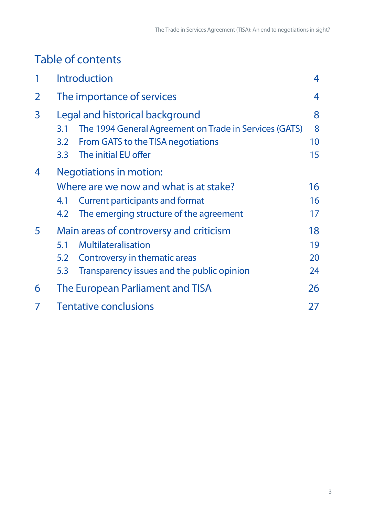# Table of contents

| 1              | <b>Introduction</b>                                           | 4  |  |  |
|----------------|---------------------------------------------------------------|----|--|--|
| $\overline{2}$ | The importance of services                                    | 4  |  |  |
| 3              | Legal and historical background                               | 8  |  |  |
|                | The 1994 General Agreement on Trade in Services (GATS)<br>3.1 | 8  |  |  |
|                | From GATS to the TISA negotiations<br>3.2                     | 10 |  |  |
|                | The initial EU offer<br>3.3 <sub>2</sub>                      | 15 |  |  |
| 4              | <b>Negotiations in motion:</b>                                |    |  |  |
|                | Where are we now and what is at stake?                        | 16 |  |  |
|                | <b>Current participants and format</b><br>4.1                 | 16 |  |  |
|                | The emerging structure of the agreement<br>4.2                | 17 |  |  |
| 5              | Main areas of controversy and criticism                       | 18 |  |  |
|                | Multilateralisation<br>5.1                                    | 19 |  |  |
|                | Controversy in thematic areas<br>5.2                          | 20 |  |  |
|                | Transparency issues and the public opinion<br>5.3             | 24 |  |  |
| 6              | The European Parliament and TISA<br>26                        |    |  |  |
| 7              | <b>Tentative conclusions</b><br>27                            |    |  |  |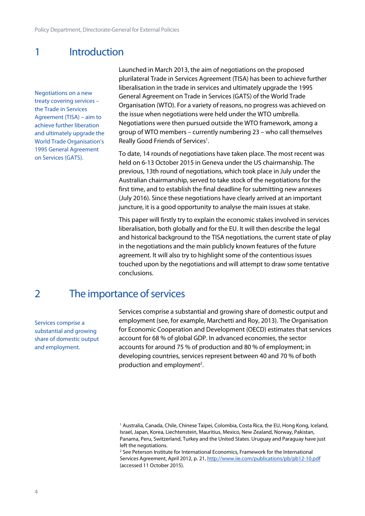### <span id="page-3-0"></span>1 Introduction

Negotiations on a new treaty covering services – the Trade in Services Agreement (TISA) – aim to achieve further liberation and ultimately upgrade the World Trade Organisation's 1995 General Agreement on Services (GATS).

Launched in March 2013, the aim of negotiations on the proposed plurilateral Trade in Services Agreement (TISA) has been to achieve further liberalisation in the trade in services and ultimately upgrade the 1995 General Agreement on Trade in Services (GATS) of the World Trade Organisation (WTO). For a variety of reasons, no progress was achieved on the issue when negotiations were held under the WTO umbrella. Negotiations were then pursued outside the WTO framework, among a group of WTO members – currently numbering 23 – who call themselves Really Good Friends of Services<sup>1</sup>.

To date, 14 rounds of negotiations have taken place. The most recent was held on 6-13 October 2015 in Geneva under the US chairmanship. The previous, 13th round of negotiations, which took place in July under the Australian chairmanship, served to take stock of the negotiations for the first time, and to establish the final deadline for submitting new annexes (July 2016). Since these negotiations have clearly arrived at an important juncture, it is a good opportunity to analyse the main issues at stake.

This paper will firstly try to explain the economic stakes involved in services liberalisation, both globally and for the EU. It will then describe the legal and historical background to the TISA negotiations, the current state of play in the negotiations and the main publicly known features of the future agreement. It will also try to highlight some of the contentious issues touched upon by the negotiations and will attempt to draw some tentative conclusions.

### <span id="page-3-1"></span>2 The importance of services

Services comprise a substantial and growing share of domestic output and employment.

Services comprise a substantial and growing share of domestic output and employment (see, for example, Marchetti and Roy, 2013). The Organisation for Economic Cooperation and Development (OECD) estimates that services account for 68 % of global GDP. In advanced economies, the sector accounts for around 75 % of production and 80 % of employment; in developing countries, services represent between 40 and 70 % of both production and employment<sup>2</sup>.

<sup>2</sup> See Peterson Institute for International Economics, Framework for the International Services Agreement, April 2012, p. 21, <http://www.iie.com/publications/pb/pb12-10.pdf> (accessed 11 October 2015).

<sup>&</sup>lt;sup>1</sup> Australia, Canada, Chile, Chinese Taipei, Colombia, Costa Rica, the EU, Hong Kong, Iceland, Israel, Japan, Korea, Liechtenstein, Mauritius, Mexico, New Zealand, Norway, Pakistan, Panama, Peru, Switzerland, Turkey and the United States. Uruguay and Paraguay have just left the negotiations.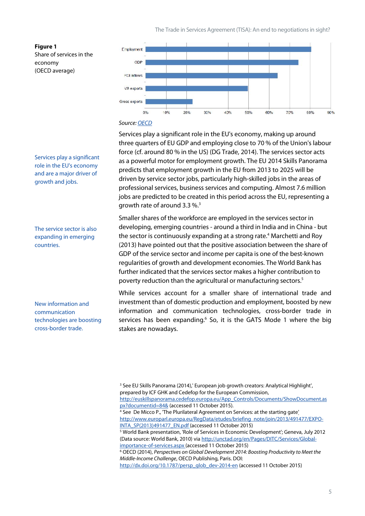

#### *Source: [OECD](http://www.oecd.org/tad/services-trade/STRI Policy Brief_ENG.pdf)*

Services play a significant role in the EU's economy, making up around three quarters of EU GDP and employing close to 70 % of the Union's labour force (cf. around 80 % in the US) (DG Trade, 2014). The services sector acts as a powerful motor for employment growth. The EU 2014 Skills Panorama predicts that employment growth in the EU from 2013 to 2025 will be driven by service sector jobs, particularly high-skilled jobs in the areas of professional services, business services and computing. Almost 7.6 million jobs are predicted to be created in this period across the EU, representing a growth rate of around 3.3 %.<sup>3</sup>

Smaller shares of the workforce are employed in the services sector in developing, emerging countries - around a third in India and in China - but the sector is continuously expanding at a strong rate.<sup>4</sup> Marchetti and Roy (2013) have pointed out that the positive association between the share of GDP of the service sector and income per capita is one of the best-known regularities of growth and development economies. The World Bank has further indicated that the services sector makes a higher contribution to poverty reduction than the agricultural or manufacturing sectors.<sup>5</sup>

While services account for a smaller share of international trade and investment than of domestic production and employment, boosted by new information and communication technologies, cross-border trade in services has been expanding.<sup>6</sup> So, it is the GATS Mode 1 where the big stakes are nowadays.

Services play a significant role in the EU's economy and are a major driver of growth and jobs.

The service sector is also expanding in emerging countries.

New information and communication technologies are boosting cross-border trade.

<sup>&</sup>lt;sup>3</sup> See EU Skills Panorama (2014),' European job growth creators: Analytical Highlight', prepared by ICF GHK and Cedefop for the European Commission, [http://euskillspanorama.cedefop.europa.eu/App\\_Controls/Documents/ShowDocument.as](http://euskillspanorama.cedefop.europa.eu/App_Controls/Documents/ShowDocument.aspx?documentid=84&) [px?documentid=84&](http://euskillspanorama.cedefop.europa.eu/App_Controls/Documents/ShowDocument.aspx?documentid=84&) (accessed 11 October 2015). <sup>4</sup> See De Micco P., 'The Plurilateral Agreement on Services: at the starting gate' [http://www.europarl.europa.eu/RegData/etudes/briefing\\_note/join/2013/491477/EXPO-](http://www.europarl.europa.eu/RegData/etudes/briefing_note/join/2013/491477/EXPO-INTA_SP(2013)491477_EN.pdf,)

[INTA\\_SP\(2013\)491477\\_EN.pdf](http://www.europarl.europa.eu/RegData/etudes/briefing_note/join/2013/491477/EXPO-INTA_SP(2013)491477_EN.pdf,) (accessed 11 October 2015) <sup>5</sup> World Bank presentation, 'Role of Services in Economic Development'; Geneva, July 2012

<sup>(</sup>Data source: World Bank, 2010) via [http://unctad.org/en/Pages/DITC/Services/Global](http://unctad.org/en/Pages/DITC/Services/Global-importance-of-services.aspx)[importance-of-services.aspx](http://unctad.org/en/Pages/DITC/Services/Global-importance-of-services.aspx) (accessed 11 October 2015)

<sup>6</sup> OECD (2014), *Perspectives on Global Development 2014: Boosting Productivity to Meet the Middle-Income Challenge*, OECD Publishing, Paris. DOI:

[http://dx.doi.org/10.1787/persp\\_glob\\_dev-2014-en](http://dx.doi.org/10.1787/persp_glob_dev-2014-en) (accessed 11 October 2015)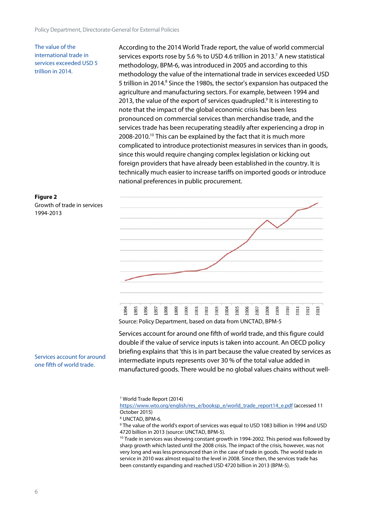The value of the international trade in services exceeded USD 5 trillion in 2014.

**Figure 2**

1994-2013

Growth of trade in services

According to the 2014 World Trade report, the value of world commercial services exports rose by 5.6 % to USD 4.6 trillion in 2013.<sup>7</sup> A new statistical methodology, BPM-6, was introduced in 2005 and according to this methodology the value of the international trade in services exceeded USD 5 trillion in 2014.<sup>8</sup> Since the 1980s, the sector's expansion has outpaced the agriculture and manufacturing sectors. For example, between 1994 and 2013, the value of the export of services quadrupled.<sup>9</sup> It is interesting to note that the impact of the global economic crisis has been less pronounced on commercial services than merchandise trade, and the services trade has been recuperating steadily after experiencing a drop in 2008-2010.<sup>10</sup> This can be explained by the fact that it is much more complicated to introduce protectionist measures in services than in goods, since this would require changing complex legislation or kicking out foreign providers that have already been established in the country. It is technically much easier to increase tariffs on imported goods or introduce national preferences in public procurement.



#### Source: Policy Department, based on data from UNCTAD, BPM-5

Services account for around one fifth of world trade, and this figure could double if the value of service inputs is taken into account. An OECD policy briefing explains that 'this is in part because the value created by services as intermediate inputs represents over 30 % of the total value added in manufactured goods. There would be no global values chains without well-

<sup>7</sup> World Trade Report (2014)

[https://www.wto.org/english/res\\_e/booksp\\_e/world\\_trade\\_report14\\_e.pdf](https://www.wto.org/english/res_e/booksp_e/world_trade_report14_e.pdf) (accessed 11 October 2015)

<sup>8</sup> UNCTAD, BPM-6.

<sup>9</sup> The value of the world's export of services was equal to USD 1083 billion in 1994 and USD 4720 billion in 2013 (source: UNCTAD, BPM-5).

<sup>10</sup> Trade in services was showing constant growth in 1994-2002. This period was followed by sharp growth which lasted until the 2008 crisis. The impact of the crisis, however, was not very long and was less pronounced than in the case of trade in goods. The world trade in service in 2010 was almost equal to the level in 2008. Since then, the services trade has been constantly expanding and reached USD 4720 billion in 2013 (BPM-5).

Services account for around one fifth of world trade.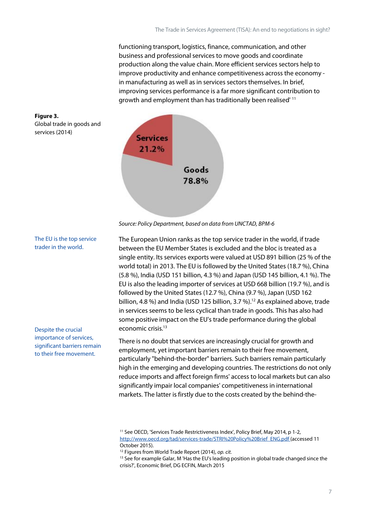functioning transport, logistics, finance, communication, and other business and professional services to move goods and coordinate production along the value chain. More efficient services sectors help to improve productivity and enhance competitiveness across the economy in manufacturing as well as in services sectors themselves. In brief, improving services performance is a far more significant contribution to growth and employment than has traditionally been realised' <sup>11</sup>





The European Union ranks as the top service trader in the world, if trade between the EU Member States is excluded and the bloc is treated as a single entity. Its services exports were valued at USD 891 billion (25 % of the world total) in 2013. The EU is followed by the United States (18.7 %), China (5.8 %), India (USD 151 billion, 4.3 %) and Japan (USD 145 billion, 4.1 %). The EU is also the leading importer of services at USD 668 billion (19.7 %), and is followed by the United States (12.7 %), China (9.7 %), Japan (USD 162 billion, 4.8 %) and India (USD 125 billion, 3.7 %).<sup>12</sup> As explained above, trade in services seems to be less cyclical than trade in goods. This has also had some positive impact on the EU's trade performance during the global economic crisis.<sup>13</sup>

There is no doubt that services are increasingly crucial for growth and employment, yet important barriers remain to their free movement, particularly "behind-the-border" barriers. Such barriers remain particularly high in the emerging and developing countries. The restrictions do not only reduce imports and affect foreign firms' access to local markets but can also significantly impair local companies' competitiveness in international markets. The latter is firstly due to the costs created by the behind-the-

Global trade in goods and services (2014)

**Figure 3.**

trader in the world.

The EU is the top service

Despite the crucial importance of services, significant barriers remain to their free movement.

<sup>&</sup>lt;sup>11</sup> See OECD, 'Services Trade Restrictiveness Index', Policy Brief, May 2014, p 1-2, [http://www.oecd.org/tad/services-trade/STRI%20Policy%20Brief\\_ENG.pdf](http://www.oecd.org/tad/services-trade/STRI Policy Brief_ENG.pdf) (accessed 11 October 2015).

<sup>12</sup> Figures from World Trade Report (2014), *op. cit.*

<sup>&</sup>lt;sup>13</sup> See for example Galar, M 'Has the EU's leading position in global trade changed since the crisis?', Economic Brief, DG ECFIN, March 2015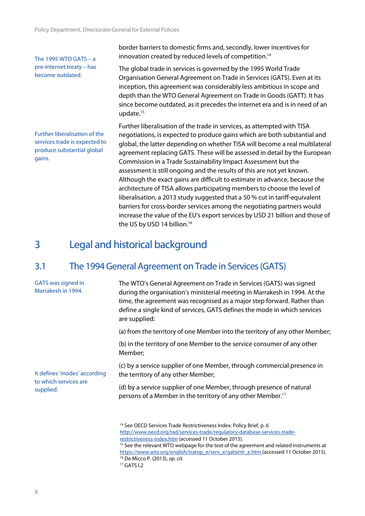The 1995 WTO GATS –  $a$ pre-internet treaty – has become outdated.

border barriers to domestic firms and, secondly, lower incentives for innovation created by reduced levels of competition.<sup>14</sup>

The global trade in services is governed by the 1995 World Trade Organisation General Agreement on Trade in Services (GATS). Even at its inception, this agreement was considerably less ambitious in scope and depth than the WTO General Agreement on Trade in Goods (GATT). It has since become outdated, as it precedes the internet era and is in need of an update.<sup>15</sup>

Further liberalisation of the services trade is expected to produce substantial global gains.

Further liberalisation of the trade in services, as attempted with TISA negotiations, is expected to produce gains which are both substantial and global, the latter depending on whether TISA will become a real multilateral agreement replacing GATS. These will be assessed in detail by the European Commission in a Trade Sustainability Impact Assessment but the assessment is still ongoing and the results of this are not yet known. Although the exact gains are difficult to estimate in advance, because the architecture of TISA allows participating members to choose the level of liberalisation, a 2013 study suggested that a 50 % cut in tariff-equivalent barriers for cross-border services among the negotiating partners would increase the value of the EU's export services by USD 21 billion and those of the US by USD 14 billion.<sup>16</sup>

### <span id="page-7-0"></span>3 Legal and historical background

### <span id="page-7-1"></span>3.1 The 1994 General Agreement on Trade in Services (GATS)

| <b>GATS</b> was signed in<br>Marrakesh in 1994. | The WTO's General Agreement on Trade in Services (GATS) was signed<br>during the organisation's ministerial meeting in Marrakesh in 1994. At the<br>time, the agreement was recognised as a major step forward. Rather than<br>define a single kind of services, GATS defines the mode in which services<br>are supplied:                                                                                               |
|-------------------------------------------------|-------------------------------------------------------------------------------------------------------------------------------------------------------------------------------------------------------------------------------------------------------------------------------------------------------------------------------------------------------------------------------------------------------------------------|
|                                                 | (a) from the territory of one Member into the territory of any other Member;                                                                                                                                                                                                                                                                                                                                            |
|                                                 | (b) in the territory of one Member to the service consumer of any other<br>Member;                                                                                                                                                                                                                                                                                                                                      |
| It defines 'modes' according                    | (c) by a service supplier of one Member, through commercial presence in<br>the territory of any other Member;                                                                                                                                                                                                                                                                                                           |
| to which services are<br>supplied.              | (d) by a service supplier of one Member, through presence of natural<br>persons of a Member in the territory of any other Member. <sup>17</sup>                                                                                                                                                                                                                                                                         |
|                                                 | <sup>14</sup> See OECD Services Trade Restrictiveness Index: Policy Brief, p. 6<br>http://www.oecd.org/tad/services-trade/regulatory-database-services-trade-<br>restrictiveness-index.htm (accessed 11 October 2015).<br><sup>15</sup> See the relevant WTO webpage for the text of the agreement and related instruments at<br>https://www.wto.org/english/tratop_e/serv_e/gatsintr_e.htm (accessed 11 October 2015). |

<sup>16</sup> De Micco P. (2013), *op. cit.*

<sup>17</sup> GATS I.2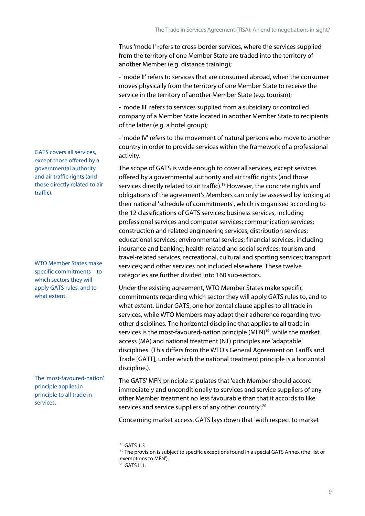Thus 'mode I' refers to cross-border services, where the services supplied from the territory of one Member State are traded into the territory of another Member (e.g. distance training);

- 'mode II' refers to services that are consumed abroad, when the consumer moves physically from the territory of one Member State to receive the service in the territory of another Member State (e.g. tourism);

- 'mode III' refers to services supplied from a subsidiary or controlled company of a Member State located in another Member State to recipients of the latter (e.g. a hotel group);

- 'mode IV' refers to the movement of natural persons who move to another country in order to provide services within the framework of a professional activity.

The scope of GATS is wide enough to cover all services, except services offered by a governmental authority and air traffic rights (and those services directly related to air traffic).<sup>18</sup> However, the concrete rights and obligations of the agreement's Members can only be assessed by looking at their national 'schedule of commitments', which is organised according to the 12 classifications of GATS services: business services, including professional services and computer services; communication services; construction and related engineering services; distribution services; educational services; environmental services; financial services, including insurance and banking; health-related and social services; tourism and travel-related services; recreational, cultural and sporting services; transport services; and other services not included elsewhere. These twelve categories are further divided into 160 sub-sectors.

Under the existing agreement, WTO Member States make specific commitments regarding which sector they will apply GATS rules to, and to what extent. Under GATS, one horizontal clause applies to all trade in services, while WTO Members may adapt their adherence regarding two other disciplines. The horizontal discipline that applies to all trade in services is the most-favoured-nation principle (MFN)<sup>19</sup>, while the market access (MA) and national treatment (NT) principles are 'adaptable' disciplines. (This differs from the WTO's General Agreement on Tariffs and Trade [GATT], under which the national treatment principle is a horizontal discipline.).

The GATS' MFN principle stipulates that 'each Member should accord immediately and unconditionally to services and service suppliers of any other Member treatment no less favourable than that it accords to like services and service suppliers of any other country'.<sup>20</sup>

Concerning market access, GATS lays down that 'with respect to market

<sup>18</sup> GATS 1.3

GATS covers all services, except those offered by a governmental authority and air traffic rights (and those directly related to air traffic).

WTO Member States make specific commitments – to which sectors they will apply GATS rules, and to what extent.

The 'most-favoured-nation' principle applies in principle to all trade in services.

<sup>&</sup>lt;sup>19</sup> The provision is subject to specific exceptions found in a special GATS Annex (the 'list of exemptions to MFN'), <sup>20</sup> GATS II.1.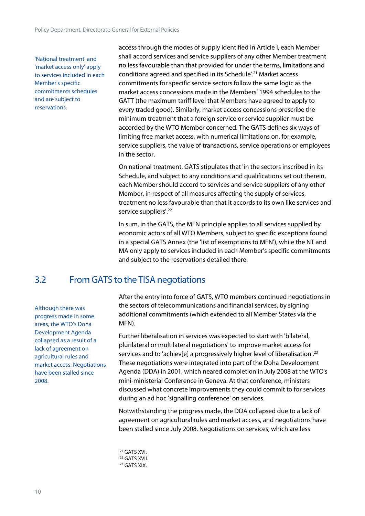'National treatment' and 'market access only' apply to services included in each Member's specific commitments schedules and are subject to reservations.

access through the modes of supply identified in Article I, each Member shall accord services and service suppliers of any other Member treatment no less favourable than that provided for under the terms, limitations and conditions agreed and specified in its Schedule'.<sup>21</sup> Market access commitments for specific service sectors follow the same logic as the market access concessions made in the Members' 1994 schedules to the GATT (the maximum tariff level that Members have agreed to apply to every traded good). Similarly, market access concessions prescribe the minimum treatment that a foreign service or service supplier must be accorded by the WTO Member concerned. The GATS defines six ways of limiting free market access, with numerical limitations on, for example, service suppliers, the value of transactions, service operations or employees in the sector.

On national treatment, GATS stipulates that 'in the sectors inscribed in its Schedule, and subject to any conditions and qualifications set out therein, each Member should accord to services and service suppliers of any other Member, in respect of all measures affecting the supply of services, treatment no less favourable than that it accords to its own like services and service suppliers'.<sup>22</sup>

In sum, in the GATS, the MFN principle applies to all services supplied by economic actors of all WTO Members, subject to specific exceptions found in a special GATS Annex (the 'list of exemptions to MFN'), while the NT and MA only apply to services included in each Member's specific commitments and subject to the reservations detailed there.

### <span id="page-9-0"></span>3.2 From GATS to the TISA negotiations

Although there was progress made in some areas, the WTO's Doha Development Agenda collapsed as a result of a lack of agreement on agricultural rules and market access. Negotiations have been stalled since 2008.

After the entry into force of GATS, WTO members continued negotiations in the sectors of telecommunications and financial services, by signing additional commitments (which extended to all Member States via the MFN).

Further liberalisation in services was expected to start with 'bilateral, plurilateral or multilateral negotiations' to improve market access for services and to 'achiev[e] a progressively higher level of liberalisation'.<sup>23</sup> These negotiations were integrated into part of the Doha Development Agenda (DDA) in 2001, which neared completion in July 2008 at the WTO's mini-ministerial Conference in Geneva. At that conference, ministers discussed what concrete improvements they could commit to for services during an ad hoc 'signalling conference' on services.

Notwithstanding the progress made, the DDA collapsed due to a lack of agreement on agricultural rules and market access, and negotiations have been stalled since July 2008. Negotiations on services, which are less

<sup>21</sup> GATS XVI. <sup>22</sup> GATS XVII. <sup>23</sup> GATS XIX.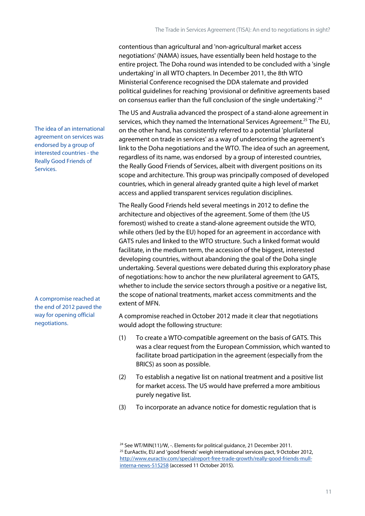contentious than agricultural and 'non-agricultural market access negotiations' (NAMA) issues, have essentially been held hostage to the entire project. The Doha round was intended to be concluded with a 'single undertaking' in all WTO chapters. In December 2011, the 8th WTO Ministerial Conference recognised the DDA stalemate and provided political guidelines for reaching 'provisional or definitive agreements based on consensus earlier than the full conclusion of the single undertaking<sup>'.24</sup>

The US and Australia advanced the prospect of a stand-alone agreement in services, which they named the International Services Agreement.<sup>25</sup> The EU, on the other hand, has consistently referred to a potential 'plurilateral agreement on trade in services' as a way of underscoring the agreement's link to the Doha negotiations and the WTO. The idea of such an agreement, regardless of its name, was endorsed by a group of interested countries, the Really Good Friends of Services, albeit with divergent positions on its scope and architecture. This group was principally composed of developed countries, which in general already granted quite a high level of market access and applied transparent services regulation disciplines.

The Really Good Friends held several meetings in 2012 to define the architecture and objectives of the agreement. Some of them (the US foremost) wished to create a stand-alone agreement outside the WTO, while others (led by the EU) hoped for an agreement in accordance with GATS rules and linked to the WTO structure. Such a linked format would facilitate, in the medium term, the accession of the biggest, interested developing countries, without abandoning the goal of the Doha single undertaking. Several questions were debated during this exploratory phase of negotiations: how to anchor the new plurilateral agreement to GATS, whether to include the service sectors through a positive or a negative list, the scope of national treatments, market access commitments and the extent of MFN.

A compromise reached in October 2012 made it clear that negotiations would adopt the following structure:

- (1) To create a WTO-compatible agreement on the basis of GATS. This was a clear request from the European Commission, which wanted to facilitate broad participation in the agreement (especially from the BRICS) as soon as possible.
- (2) To establish a negative list on national treatment and a positive list for market access. The US would have preferred a more ambitious purely negative list.
- (3) To incorporate an advance notice for domestic regulation that is

The idea of an international agreement on services was endorsed by a group of interested countries - the Really Good Friends of Services.

A compromise reached at the end of 2012 paved the way for opening official negotiations.

<sup>&</sup>lt;sup>24</sup> See WT/MIN(11)/W, -. Elements for political guidance, 21 December 2011. <sup>25</sup> EurAactiv, EU and 'good friends' weigh international services pact, 9 October 2012, [http://www.euractiv.com/specialreport-free-trade-growth/really-good-friends-mull](http://www.euractiv.com/specialreport-free-trade-growth/really-good-friends-mull-interna-news-515258)[interna-news-515258](http://www.euractiv.com/specialreport-free-trade-growth/really-good-friends-mull-interna-news-515258) (accessed 11 October 2015).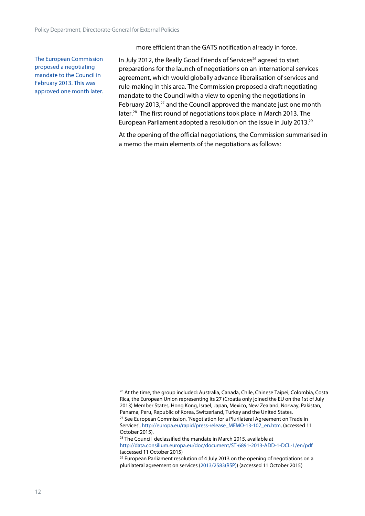The European Commission proposed a negotiating mandate to the Council in February 2013. This was approved one month later. more efficient than the GATS notification already in force.

In July 2012, the Really Good Friends of Services<sup>26</sup> agreed to start preparations for the launch of negotiations on an international services agreement, which would globally advance liberalisation of services and rule-making in this area. The Commission proposed a draft negotiating mandate to the Council with a view to opening the negotiations in February 2013,<sup>27</sup> and the Council approved the mandate just one month later.<sup>28</sup> The first round of negotiations took place in March 2013. The European Parliament adopted a resolution on the issue in July 2013.<sup>29</sup>

At the opening of the official negotiations, the Commission summarised in a memo the main elements of the negotiations as follows:

<sup>28</sup> The Council declassified the mandate in March 2015, available at <http://data.consilium.europa.eu/doc/document/ST-6891-2013-ADD-1-DCL-1/en/pdf> (accessed 11 October 2015)

 $29$  European Parliament resolution of 4 July 2013 on the opening of negotiations on a plurilateral agreement on services ([2013/2583\(RSP\)\)](http://www.europarl.europa.eu/oeil/popups/ficheprocedure.do?lang=en&reference=2013/2583(RSP)) (accessed 11 October 2015)

<sup>&</sup>lt;sup>26</sup> At the time, the group included: Australia, Canada, Chile, Chinese Taipei, Colombia, Costa Rica, the European Union representing its 27 (Croatia only joined the EU on the 1st of July 2013) Member States, Hong Kong, Israel, Japan, Mexico, New Zealand, Norway, Pakistan, Panama, Peru, Republic of Korea, Switzerland, Turkey and the United States. <sup>27</sup> See European Commission, 'Negotiation for a Plurilateral Agreement on Trade in Services', http://europa.eu/rapid/press-release\_MEMO-13-107\_en.htm, (accessed 11 October 2015).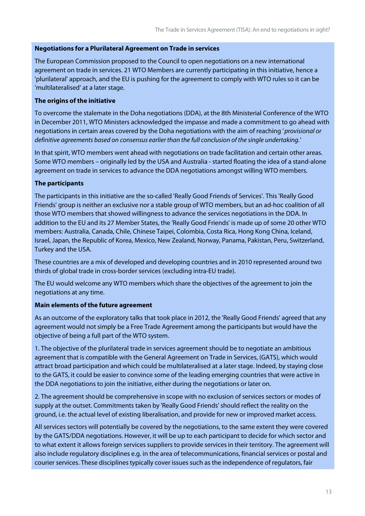#### **Negotiations for a Plurilateral Agreement on Trade in services**

The European Commission proposed to the Council to open negotiations on a new international agreement on trade in services. 21 WTO Members are currently participating in this initiative, hence a 'plurilateral' approach, and the EU is pushing for the agreement to comply with WTO rules so it can be 'multilateralised' at a later stage.

#### **The origins of the initiative**

To overcome the stalemate in the Doha negotiations (DDA), at the 8th Ministerial Conference of the WTO in December 2011, WTO Ministers acknowledged the impasse and made a commitment to go ahead with negotiations in certain areas covered by the Doha negotiations with the aim of reaching *' provisional or definitive agreements based on consensus earlier than the full conclusion of the single undertaking.'*

In that spirit, WTO members went ahead with negotiations on trade facilitation and certain other areas. Some WTO members – originally led by the USA and Australia - started floating the idea of a stand-alone agreement on trade in services to advance the DDA negotiations amongst willing WTO members.

#### **The participants**

The participants in this initiative are the so-called 'Really Good Friends of Services'. This 'Really Good Friends' group is neither an exclusive nor a stable group of WTO members, but an ad-hoc coalition of all those WTO members that showed willingness to advance the services negotiations in the DDA. In addition to the EU and its 27 Member States, the 'Really Good Friends' is made up of some 20 other WTO members: Australia, Canada, Chile, Chinese Taipei, Colombia, Costa Rica, Hong Kong China, Iceland, Israel, Japan, the Republic of Korea, Mexico, New Zealand, Norway, Panama, Pakistan, Peru, Switzerland, Turkey and the USA.

These countries are a mix of developed and developing countries and in 2010 represented around two thirds of global trade in cross-border services (excluding intra-EU trade).

The EU would welcome any WTO members which share the objectives of the agreement to join the negotiations at any time.

#### **Main elements of the future agreement**

As an outcome of the exploratory talks that took place in 2012, the 'Really Good Friends' agreed that any agreement would not simply be a Free Trade Agreement among the participants but would have the objective of being a full part of the WTO system.

1. The objective of the plurilateral trade in services agreement should be to negotiate an ambitious agreement that is compatible with the General Agreement on Trade in Services, (GATS), which would attract broad participation and which could be multilateralised at a later stage. Indeed, by staying close to the GATS, it could be easier to convince some of the leading emerging countries that were active in the DDA negotiations to join the initiative, either during the negotiations or later on.

2. The agreement should be comprehensive in scope with no exclusion of services sectors or modes of supply at the outset. Commitments taken by 'Really Good Friends' should reflect the reality on the ground, i.e. the actual level of existing liberalisation, and provide for new or improved market access.

All services sectors will potentially be covered by the negotiations, to the same extent they were covered by the GATS/DDA negotiations. However, it will be up to each participant to decide for which sector and to what extent it allows foreign services suppliers to provide servicesin their territory. The agreement will also include regulatory disciplines e.g. in the area of telecommunications, financial services or postal and courier services. These disciplines typically cover issues such as the independence of regulators, fair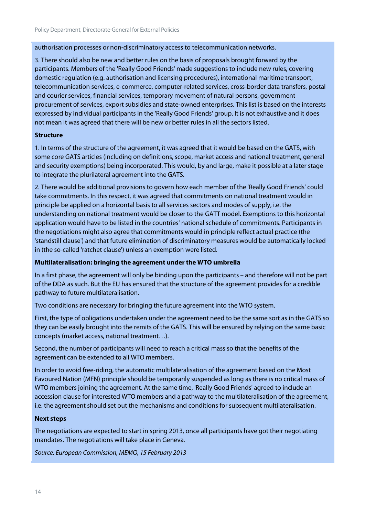authorisation processes or non-discriminatory access to telecommunication networks.

3. There should also be new and better rules on the basis of proposals brought forward by the participants. Members of the 'Really Good Friends' made suggestions to include new rules, covering domestic regulation (e.g. authorisation and licensing procedures), international maritime transport, telecommunication services, e-commerce, computer-related services, cross-border data transfers, postal and courier services, financial services, temporary movement of natural persons, government procurement of services, export subsidies and state-owned enterprises. This list is based on the interests expressed by individual participants in the 'Really Good Friends' group. It is not exhaustive and it does not mean it was agreed that there will be new or better rules in all the sectors listed.

#### **Structure**

1. In terms of the structure of the agreement, it was agreed that it would be based on the GATS, with some core GATS articles (including on definitions, scope, market access and national treatment, general and security exemptions) being incorporated. This would, by and large, make it possible at a later stage to integrate the plurilateral agreement into the GATS.

2. There would be additional provisions to govern how each member of the 'Really Good Friends' could take commitments. In this respect, it was agreed that commitments on national treatment would in principle be applied on a horizontal basis to all services sectors and modes of supply, i.e. the understanding on national treatment would be closer to the GATT model. Exemptions to this horizontal application would have to be listed in the countries' national schedule of commitments. Participants in the negotiations might also agree that commitments would in principle reflect actual practice (the 'standstill clause') and that future elimination of discriminatory measures would be automatically locked in (the so-called 'ratchet clause') unless an exemption were listed.

#### **Multilateralisation: bringing the agreement under the WTO umbrella**

In a first phase, the agreement will only be binding upon the participants – and therefore will not be part of the DDA as such. But the EU has ensured that the structure of the agreement provides for a credible pathway to future multilateralisation.

Two conditions are necessary for bringing the future agreement into the WTO system.

First, the type of obligations undertaken under the agreement need to be the same sort as in the GATS so they can be easily brought into the remits of the GATS. This will be ensured by relying on the same basic concepts (market access, national treatment…).

Second, the number of participants will need to reach a critical mass so that the benefits of the agreement can be extended to all WTO members.

In order to avoid free-riding, the automatic multilateralisation of the agreement based on the Most Favoured Nation (MFN) principle should be temporarily suspended as long as there is no critical mass of WTO members joining the agreement. At the same time, 'Really Good Friends' agreed to include an accession clause for interested WTO members and a pathway to the multilateralisation of the agreement, i.e. the agreement should set out the mechanisms and conditions for subsequent multilateralisation.

#### **Next steps**

The negotiations are expected to start in spring 2013, once all participants have got their negotiating mandates. The negotiations will take place in Geneva.

*Source: European Commission, MEMO, 15 February 2013*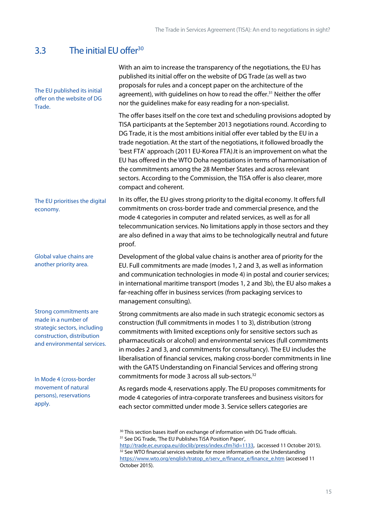### <span id="page-14-0"></span>3.3 The initial EU offer $30$

| The EU published its initial<br>offer on the website of DG<br>Trade.                                                                                                         | With an aim to increase the transparency of the negotiations, the EU has<br>published its initial offer on the website of DG Trade (as well as two<br>proposals for rules and a concept paper on the architecture of the<br>agreement), with guidelines on how to read the offer. <sup>31</sup> Neither the offer<br>nor the guidelines make for easy reading for a non-specialist.                                                                                                                                                                                                                                                                       |
|------------------------------------------------------------------------------------------------------------------------------------------------------------------------------|-----------------------------------------------------------------------------------------------------------------------------------------------------------------------------------------------------------------------------------------------------------------------------------------------------------------------------------------------------------------------------------------------------------------------------------------------------------------------------------------------------------------------------------------------------------------------------------------------------------------------------------------------------------|
|                                                                                                                                                                              | The offer bases itself on the core text and scheduling provisions adopted by<br>TISA participants at the September 2013 negotiations round. According to<br>DG Trade, it is the most ambitions initial offer ever tabled by the EU in a<br>trade negotiation. At the start of the negotiations, it followed broadly the<br>'best FTA' approach (2011 EU-Korea FTA). It is an improvement on what the<br>EU has offered in the WTO Doha negotiations in terms of harmonisation of<br>the commitments among the 28 Member States and across relevant<br>sectors. According to the Commission, the TISA offer is also clearer, more<br>compact and coherent. |
| The EU prioritises the digital<br>economy.                                                                                                                                   | In its offer, the EU gives strong priority to the digital economy. It offers full<br>commitments on cross-border trade and commercial presence, and the<br>mode 4 categories in computer and related services, as well as for all<br>telecommunication services. No limitations apply in those sectors and they<br>are also defined in a way that aims to be technologically neutral and future<br>proof.                                                                                                                                                                                                                                                 |
| Global value chains are<br>another priority area.                                                                                                                            | Development of the global value chains is another area of priority for the<br>EU. Full commitments are made (modes 1, 2 and 3, as well as information<br>and communication technologies in mode 4) in postal and courier services;<br>in international maritime transport (modes 1, 2 and 3b), the EU also makes a<br>far-reaching offer in business services (from packaging services to<br>management consulting).                                                                                                                                                                                                                                      |
| <b>Strong commitments are</b><br>made in a number of<br>strategic sectors, including<br>construction, distribution<br>and environmental services.<br>In Mode 4 (cross-border | Strong commitments are also made in such strategic economic sectors as<br>construction (full commitments in modes 1 to 3), distribution (strong<br>commitments with limited exceptions only for sensitive sectors such as<br>pharmaceuticals or alcohol) and environmental services (full commitments<br>in modes 2 and 3, and commitments for consultancy). The EU includes the<br>liberalisation of financial services, making cross-border commitments in line<br>with the GATS Understanding on Financial Services and offering strong<br>commitments for mode 3 across all sub-sectors. <sup>32</sup>                                                |
| movement of natural<br>persons), reservations<br>apply.                                                                                                                      | As regards mode 4, reservations apply. The EU proposes commitments for<br>mode 4 categories of intra-corporate transferees and business visitors for<br>each sector committed under mode 3. Service sellers categories are                                                                                                                                                                                                                                                                                                                                                                                                                                |
|                                                                                                                                                                              | <sup>30</sup> This section bases itself on exchange of information with DG Trade officials.<br><sup>31</sup> See DG Trade, 'The EU Publishes TiSA Position Paper',<br>http://trade.ec.europa.eu/doclib/press/index.cfm?id=1133, (accessed 11 October 2015).<br>$MTO$ financial considers uralists for more information on the Uni                                                                                                                                                                                                                                                                                                                         |

 $32$  See WTO financial services website for more information on the Understanding [https://www.wto.org/english/tratop\\_e/serv\\_e/finance\\_e/finance\\_e.htm](https://www.wto.org/english/tratop_e/serv_e/finance_e/finance_e.htm) (accessed 11 October 2015).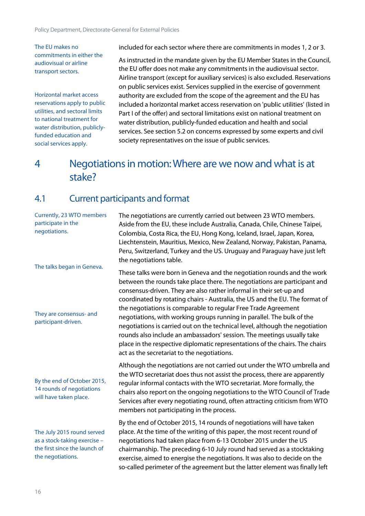The EU makes no commitments in either the audiovisual or airline transport sectors.

Horizontal market access reservations apply to public utilities, and sectoral limits to national treatment for water distribution, publiclyfunded education and social services apply.

included for each sector where there are commitments in modes 1, 2 or 3.

As instructed in the mandate given by the EU Member States in the Council, the EU offer does not make any commitments in the audiovisual sector. Airline transport (except for auxiliary services) is also excluded. Reservations on public services exist. Services supplied in the exercise of government authority are excluded from the scope of the agreement and the EU has included a horizontal market access reservation on 'public utilities' (listed in Part I of the offer) and sectoral limitations exist on national treatment on water distribution, publicly-funded education and health and social services. See section 5.2 on concerns expressed by some experts and civil society representatives on the issue of public services.

### <span id="page-15-0"></span>4 Negotiations in motion: Where are we now and what is at stake?

### <span id="page-15-1"></span>4.1 Current participants and format

| Currently, 23 WTO members<br>participate in the<br>negotiations.<br>The talks began in Geneva.<br>They are consensus- and<br>participant-driven. | The negotiations are currently carried out between 23 WTO members.<br>Aside from the EU, these include Australia, Canada, Chile, Chinese Taipei,<br>Colombia, Costa Rica, the EU, Hong Kong, Iceland, Israel, Japan, Korea,<br>Liechtenstein, Mauritius, Mexico, New Zealand, Norway, Pakistan, Panama,<br>Peru, Switzerland, Turkey and the US. Uruguay and Paraguay have just left<br>the negotiations table.                                                                                                                                                                                                                                                                                                                                  |
|--------------------------------------------------------------------------------------------------------------------------------------------------|--------------------------------------------------------------------------------------------------------------------------------------------------------------------------------------------------------------------------------------------------------------------------------------------------------------------------------------------------------------------------------------------------------------------------------------------------------------------------------------------------------------------------------------------------------------------------------------------------------------------------------------------------------------------------------------------------------------------------------------------------|
|                                                                                                                                                  | These talks were born in Geneva and the negotiation rounds and the work<br>between the rounds take place there. The negotiations are participant and<br>consensus-driven. They are also rather informal in their set-up and<br>coordinated by rotating chairs - Australia, the US and the EU. The format of<br>the negotiations is comparable to regular Free Trade Agreement<br>negotiations, with working groups running in parallel. The bulk of the<br>negotiations is carried out on the technical level, although the negotiation<br>rounds also include an ambassadors' session. The meetings usually take<br>place in the respective diplomatic representations of the chairs. The chairs<br>act as the secretariat to the negotiations. |
| By the end of October 2015,<br>14 rounds of negotiations<br>will have taken place.                                                               | Although the negotiations are not carried out under the WTO umbrella and<br>the WTO secretariat does thus not assist the process, there are apparently<br>regular informal contacts with the WTO secretariat. More formally, the<br>chairs also report on the ongoing negotiations to the WTO Council of Trade<br>Services after every negotiating round, often attracting criticism from WTO<br>members not participating in the process.                                                                                                                                                                                                                                                                                                       |
| The July 2015 round served<br>as a stock-taking exercise -<br>the first since the launch of<br>the negotiations.                                 | By the end of October 2015, 14 rounds of negotiations will have taken<br>place. At the time of the writing of this paper, the most recent round of<br>negotiations had taken place from 6-13 October 2015 under the US<br>chairmanship. The preceding 6-10 July round had served as a stocktaking<br>exercise, aimed to energise the negotiations. It was also to decide on the<br>so-called perimeter of the agreement but the latter element was finally left                                                                                                                                                                                                                                                                                  |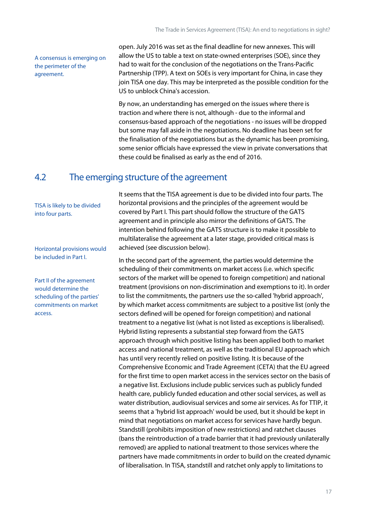A consensus is emerging on the perimeter of the agreement.

open. July 2016 was set as the final deadline for new annexes. This will allow the US to table a text on state-owned enterprises (SOE), since they had to wait for the conclusion of the negotiations on the Trans-Pacific Partnership (TPP). A text on SOEs is very important for China, in case they join TISA one day. This may be interpreted as the possible condition for the US to unblock China's accession.

By now, an understanding has emerged on the issues where there is traction and where there is not, although - due to the informal and consensus-based approach of the negotiations - no issues will be dropped but some may fall aside in the negotiations. No deadline has been set for the finalisation of the negotiations but as the dynamic has been promising, some senior officials have expressed the view in private conversations that these could be finalised as early as the end of 2016.

### <span id="page-16-0"></span>4.2 The emerging structure of the agreement

TISA is likely to be divided into four parts.

Horizontal provisions would be included in Part I.

Part II of the agreement would determine the scheduling of the parties' commitments on market access.

It seems that the TISA agreement is due to be divided into four parts. The horizontal provisions and the principles of the agreement would be covered by Part I. This part should follow the structure of the GATS agreement and in principle also mirror the definitions of GATS. The intention behind following the GATS structure is to make it possible to multilateralise the agreement at a later stage, provided critical mass is achieved (see discussion below).

In the second part of the agreement, the parties would determine the scheduling of their commitments on market access (i.e. which specific sectors of the market will be opened to foreign competition) and national treatment (provisions on non-discrimination and exemptions to it). In order to list the commitments, the partners use the so-called 'hybrid approach', by which market access commitments are subject to a positive list (only the sectors defined will be opened for foreign competition) and national treatment to a negative list (what is not listed as exceptions is liberalised). Hybrid listing represents a substantial step forward from the GATS approach through which positive listing has been applied both to market access and national treatment, as well as the traditional EU approach which has until very recently relied on positive listing. It is because of the Comprehensive Economic and Trade Agreement (CETA) that the EU agreed for the first time to open market access in the services sector on the basis of a negative list. Exclusions include public services such as publicly funded health care, publicly funded education and other social services, as well as water distribution, audiovisual services and some air services. As for TTIP, it seems that a 'hybrid list approach' would be used, but it should be kept in mind that negotiations on market access for services have hardly begun. Standstill (prohibits imposition of new restrictions) and ratchet clauses (bans the reintroduction of a trade barrier that it had previously unilaterally removed) are applied to national treatment to those services where the partners have made commitments in order to build on the created dynamic of liberalisation. In TISA, standstill and ratchet only apply to limitations to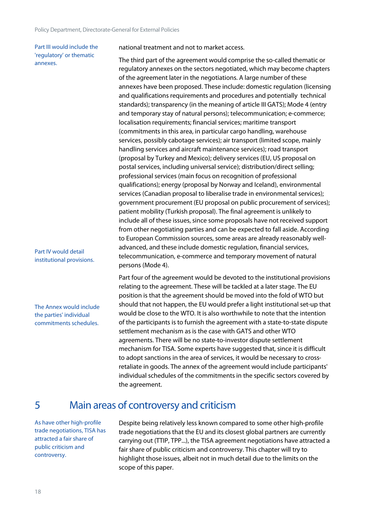Part III would include the 'regulatory' or thematic annexes.

Part IV would detail institutional provisions.

The Annex would include the parties' individual commitments schedules.

national treatment and not to market access.

The third part of the agreement would comprise the so-called thematic or regulatory annexes on the sectors negotiated, which may become chapters of the agreement later in the negotiations. A large number of these annexes have been proposed. These include: domestic regulation (licensing and qualifications requirements and procedures and potentially technical standards); transparency (in the meaning of article III GATS); Mode 4 (entry and temporary stay of natural persons); telecommunication; e-commerce; localisation requirements; financial services; maritime transport (commitments in this area, in particular cargo handling, warehouse services, possibly cabotage services); air transport (limited scope, mainly handling services and aircraft maintenance services); road transport (proposal by Turkey and Mexico); delivery services (EU, US proposal on postal services, including universal service); distribution/direct selling; professional services (main focus on recognition of professional qualifications); energy (proposal by Norway and Iceland), environmental services (Canadian proposal to liberalise trade in environmental services); government procurement (EU proposal on public procurement of services); patient mobility (Turkish proposal). The final agreement is unlikely to include all of these issues, since some proposals have not received support from other negotiating parties and can be expected to fall aside. According to European Commission sources, some areas are already reasonably well advanced, and these include domestic regulation, financial services, telecommunication, e-commerce and temporary movement of natural persons (Mode 4).

Part four of the agreement would be devoted to the institutional provisions relating to the agreement. These will be tackled at a later stage. The EU position is that the agreement should be moved into the fold of WTO but should that not happen, the EU would prefer a light institutional set-up that would be close to the WTO. It is also worthwhile to note that the intention of the participants is to furnish the agreement with a state-to-state dispute settlement mechanism as is the case with GATS and other WTO agreements. There will be no state-to-investor dispute settlement mechanism for TISA. Some experts have suggested that, since it is difficult to adopt sanctions in the area of services, it would be necessary to cross retaliate in goods. The annex of the agreement would include participants' individual schedules of the commitments in the specific sectors covered by the agreement.

### <span id="page-17-0"></span>5 Main areas of controversy and criticism

As have other high-profile trade negotiations, TISA has attracted a fair share of public criticism and controversy.

Despite being relatively less known compared to some other high-profile trade negotiations that the EU and its closest global partners are currently carrying out (TTIP, TPP...), the TISA agreement negotiations have attracted a fair share of public criticism and controversy. This chapter will try to highlight those issues, albeit not in much detail due to the limits on the scope of this paper.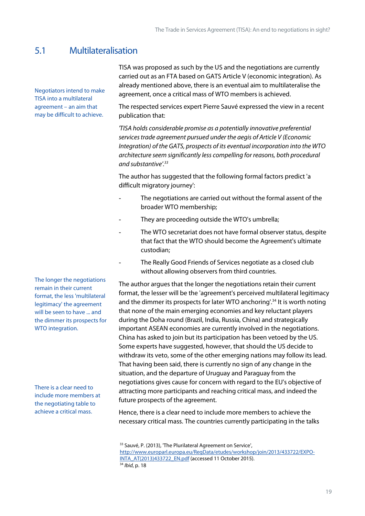### <span id="page-18-0"></span>5.1 Multilateralisation

Negotiators intend to make TISA into a multilateral agreement – an aim that may be difficult to achieve.

TISA was proposed as such by the US and the negotiations are currently carried out as an FTA based on GATS Article V (economic integration). As already mentioned above, there is an eventual aim to multilateralise the agreement, once a critical mass of WTO members is achieved.

The respected services expert Pierre Sauvé expressed the view in a recent publication that:

*'TISA holds considerable promise as a potentially innovative preferential services trade agreement pursued under the aegis of Article V (Economic Integration) of the GATS, prospects of its eventual incorporation into the WTO architecture seem significantly less compelling for reasons, both procedural and substantive'.<sup>33</sup>*

The author has suggested that the following formal factors predict 'a difficult migratory journey':

- The negotiations are carried out without the formal assent of the broader WTO membership;
- They are proceeding outside the WTO's umbrella;
- The WTO secretariat does not have formal observer status, despite that fact that the WTO should become the Agreement's ultimate custodian;
- The Really Good Friends of Services negotiate as a closed club without allowing observers from third countries.

The author argues that the longer the negotiations retain their current format, the lesser will be the 'agreement's perceived multilateral legitimacy and the dimmer its prospects for later WTO anchoring'.<sup>34</sup> It is worth noting that none of the main emerging economies and key reluctant players during the Doha round (Brazil, India, Russia, China) and strategically important ASEAN economies are currently involved in the negotiations. China has asked to join but its participation has been vetoed by the US. Some experts have suggested, however, that should the US decide to withdraw its veto, some of the other emerging nations may follow its lead. That having been said, there is currently no sign of any change in the situation, and the departure of Uruguay and Paraguay from the negotiations gives cause for concern with regard to the EU's objective of attracting more participants and reaching critical mass, and indeed the future prospects of the agreement.

Hence, there is a clear need to include more members to achieve the necessary critical mass. The countries currently participating in the talks

The longer the negotiations remain in their current format, the less 'multilateral legitimacy' the agreement will be seen to have ... and the dimmer its prospects for WTO integration.

There is a clear need to include more members at the negotiating table to achieve a critical mass.

<sup>&</sup>lt;sup>33</sup> Sauvé, P. (2013), 'The Plurilateral Agreement on Service', [http://www.europarl.europa.eu/RegData/etudes/workshop/join/2013/433722/EXPO-](http://www.europarl.europa.eu/RegData/etudes/workshop/join/2013/433722/EXPO-INTA_AT(2013)433722_EN.pdf)[INTA\\_AT\(2013\)433722\\_EN.pdf](http://www.europarl.europa.eu/RegData/etudes/workshop/join/2013/433722/EXPO-INTA_AT(2013)433722_EN.pdf) (accessed 11 October 2015). <sup>34</sup> *Ibid*, p. 18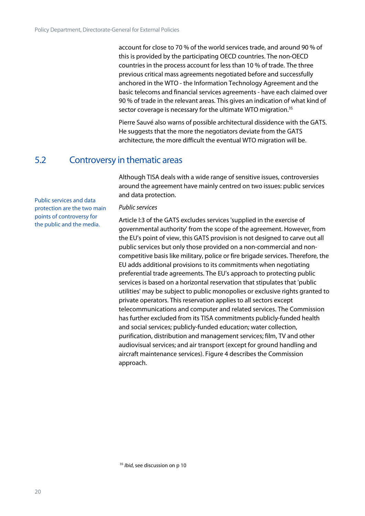account for close to 70 % of the world services trade, and around 90 % of this is provided by the participating OECD countries. The non-OECD countries in the process account for less than 10 % of trade. The three previous critical mass agreements negotiated before and successfully anchored in the WTO - the Information Technology Agreement and the basic telecoms and financial services agreements - have each claimed over 90 % of trade in the relevant areas. This gives an indication of what kind of sector coverage is necessary for the ultimate WTO migration.<sup>35</sup>

Pierre Sauvé also warns of possible architectural dissidence with the GATS. He suggests that the more the negotiators deviate from the GATS architecture, the more difficult the eventual WTO migration will be.

### <span id="page-19-0"></span>5.2 Controversy in thematic areas

Although TISA deals with a wide range of sensitive issues, controversies around the agreement have mainly centred on two issues: public services and data protection.

Public services and data protection are the two main points of controversy for the public and the media.

#### *Public services*

Article I:3 of the GATS excludes services 'supplied in the exercise of governmental authority' from the scope of the agreement. However, from the EU's point of view, this GATS provision is not designed to carve out all public services but only those provided on a non-commercial and non competitive basis like military, police or fire brigade services. Therefore, the EU adds additional provisions to its commitments when negotiating preferential trade agreements. The EU's approach to protecting public services is based on a horizontal reservation that stipulates that 'public utilities' may be subject to public monopolies or exclusive rights granted to private operators. This reservation applies to all sectors except telecommunications and computer and related services. The Commission has further excluded from its TISA commitments publicly-funded health and social services; publicly-funded education; water collection, purification, distribution and management services; film, TV and other audiovisual services; and air transport (except for ground handling and aircraft maintenance services). Figure 4 describes the Commission approach.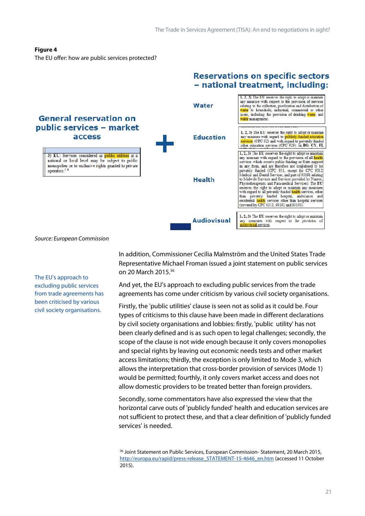#### **Figure 4**

The EU offer: how are public services protected?



*Source: European Commission*

The EU's approach to excluding public services from trade agreements has been criticised by various civil society organisations.

In addition, Commissioner Cecilia Malmström and the United States Trade Representative Michael Froman issued a joint statement on public services on 20 March 2015.<sup>36</sup>

And yet, the EU's approach to excluding public services from the trade agreements has come under criticism by various civil society organisations.

Firstly, the 'public utilities' clause is seen not as solid as it could be. Four types of criticisms to this clause have been made in different declarations by civil society organisations and lobbies: firstly, 'public utility' has not been clearly defined and is as such open to legal challenges; secondly, the scope of the clause is not wide enough because it only covers monopolies and special rights by leaving out economic needs tests and other market access limitations; thirdly, the exception is only limited to Mode 3, which allows the interpretation that cross-border provision of services (Mode 1) would be permitted; fourthly, it only covers market access and does not allow domestic providers to be treated better than foreign providers.

Secondly, some commentators have also expressed the view that the horizontal carve outs of 'publicly funded' health and education services are not sufficient to protect these, and that a clear definition of 'publicly funded services' is needed.

<sup>36</sup> Joint Statement on Public Services, European Commission- Statement, 20 March 2015, [http://europa.eu/rapid/press-release\\_STATEMENT-15-4646\\_en.htm](http://europa.eu/rapid/press-release_STATEMENT-15-4646_en.htm) (accessed 11 October 2015).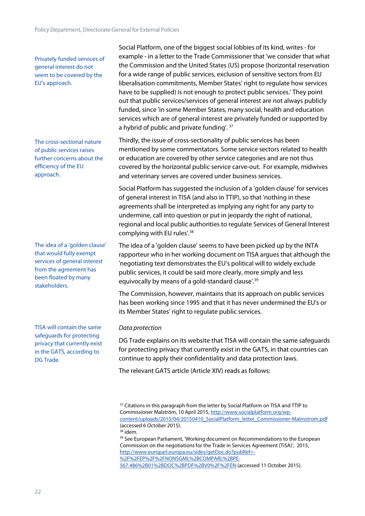Privately funded services of general interest do not seem to be covered by the EU's approach.

The cross-sectional nature of public services raises further concerns about the efficiency of the EU approach.

The idea of a 'golden clause' that would fully exempt services of general interest from the agreement has been floated by many stakeholders.

TISA will contain the same safeguards for protecting privacy that currently exist in the GATS, according to DG Trade.

Social Platform, one of the biggest social lobbies of its kind, writes - for example - in a letter to the Trade Commissioner that 'we consider that what the Commission and the United States (US) propose (horizontal reservation for a wide range of public services, exclusion of sensitive sectors from EU liberalisation commitments, Member States' right to regulate how services have to be supplied) is not enough to protect public services.' They point out that public services/services of general interest are not always publicly funded, since 'in some Member States, many social, health and education services which are of general interest are privately funded or supported by a hybrid of public and private funding'. <sup>37</sup>

Thirdly, the issue of cross-sectionality of public services has been mentioned by some commentators. Some service sectors related to health or education are covered by other service categories and are not thus covered by the horizontal public service carve-out. For example, midwives and veterinary serves are covered under business services.

Social Platform has suggested the inclusion of a 'golden clause' for services of general interest in TISA (and also in TTIP), so that 'nothing in these agreements shall be interpreted as implying any right for any party to undermine, call into question or put in jeopardy the right of national, regional and local public authorities to regulate Services of General Interest complying with EU rules'.<sup>38</sup>

The idea of a 'golden clause' seems to have been picked up by the INTA rapporteur who in her working document on TISA argues that although the 'negotiating text demonstrates the EU's political will to widely exclude public services, it could be said more clearly, more simply and less equivocally by means of a gold-standard clause'.<sup>39</sup>

The Commission, however, maintains that its approach on public services has been working since 1995 and that it has never undermined the EU's or its Member States' right to regulate public services.

#### *Data protection*

DG Trade explains on its website that TISA will contain the same safeguards for protecting privacy that currently exist in the GATS, in that countries can continue to apply their confidentiality and data protection laws.

The relevant GATS article (Article XIV) reads as follows:

<sup>38</sup> idem.

<sup>39</sup> See European Parliament, 'Working document on Recommendations to the European Commission on the negotiations for the Trade in Services Agreement (TiSA)', 2015, [http://www.europarl.europa.eu/sides/getDoc.do?pubRef=-](http://www.europarl.europa.eu/sides/getDoc.do?pubRef=-%2F%2FEP%2F%2FNONSGML%2BCOMPARL%2BPE-567.486%2B01%2BDOC%2BPDF%2BV0%2F%2FEN) [%2F%2FEP%2F%2FNONSGML%2BCOMPARL%2BPE-](http://www.europarl.europa.eu/sides/getDoc.do?pubRef=-%2F%2FEP%2F%2FNONSGML%2BCOMPARL%2BPE-567.486%2B01%2BDOC%2BPDF%2BV0%2F%2FEN) [567.486%2B01%2BDOC%2BPDF%2BV0%2F%2FEN](http://www.europarl.europa.eu/sides/getDoc.do?pubRef=-%2F%2FEP%2F%2FNONSGML%2BCOMPARL%2BPE-567.486%2B01%2BDOC%2BPDF%2BV0%2F%2FEN) (accessed 11 October 2015).

<sup>&</sup>lt;sup>37</sup> Citations in this paragraph from the letter by Social Platform on TISA and TTIP to Commissioner Malström, 10 April 2015, [http://www.socialplatform.org/wp](http://www.socialplatform.org/wp-content/uploads/2015/04/20150410_SocialPlatform_letter_Commissioner-Malmstrom.pdf) [content/uploads/2015/04/20150410\\_SocialPlatform\\_letter\\_Commissioner-Malmstrom.pdf](http://www.socialplatform.org/wp-content/uploads/2015/04/20150410_SocialPlatform_letter_Commissioner-Malmstrom.pdf) (accessed 6 October 2015).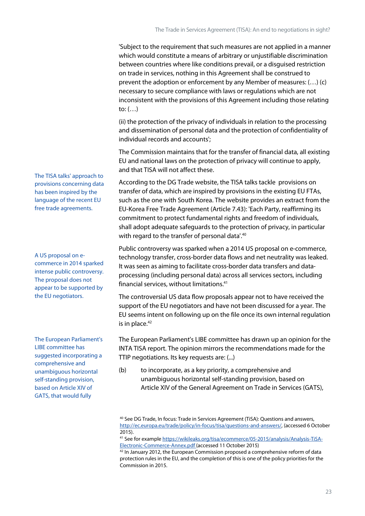'Subject to the requirement that such measures are not applied in a manner which would constitute a means of arbitrary or unjustifiable discrimination between countries where like conditions prevail, or a disguised restriction on trade in services, nothing in this Agreement shall be construed to prevent the adoption or enforcement by any Member of measures: (…) (c) necessary to secure compliance with laws or regulations which are not inconsistent with the provisions of this Agreement including those relating to:  $(...)$ 

(ii) the protection of the privacy of individuals in relation to the processing and dissemination of personal data and the protection of confidentiality of individual records and accounts';

The Commission maintains that for the transfer of financial data, all existing EU and national laws on the protection of privacy will continue to apply, and that TISA will not affect these.

According to the DG Trade website, the TISA talks tackle provisions on transfer of data, which are inspired by provisions in the existing EU FTAs, such as the one with South Korea. The website provides an extract from the EU-Korea Free Trade Agreement (Article 7.43): 'Each Party, reaffirming its commitment to protect fundamental rights and freedom of individuals, shall adopt adequate safeguards to the protection of privacy, in particular with regard to the transfer of personal data'.<sup>40</sup>

Public controversy was sparked when a 2014 US proposal on e-commerce, technology transfer, cross-border data flows and net neutrality was leaked. It was seen as aiming to facilitate cross-border data transfers and data processing (including personal data) across all services sectors, including financial services, without limitations.<sup>41</sup>

The controversial US data flow proposals appear not to have received the support of the EU negotiators and have not been discussed for a year. The EU seems intent on following up on the file once its own internal regulation is in place. $42$ 

The European Parliament's LIBE committee has drawn up an opinion for the INTA TISA report. The opinion mirrors the recommendations made for the TTIP negotiations. Its key requests are: (...)

(b) to incorporate, as a key priority, a comprehensive and unambiguous horizontal self-standing provision, based on Article XIV of the General Agreement on Trade in Services (GATS),

The TISA talks' approach to provisions concerning data has been inspired by the language of the recent EU free trade agreements.

A US proposal on e commerce in 2014 sparked intense public controversy. The proposal does not appear to be supported by the EU negotiators.

The European Parliament's LIBE committee has suggested incorporating a comprehensive and unambiguous horizontal self-standing provision, based on Article XIV of GATS, that would fully

<sup>40</sup> See DG Trade, In focus: Trade in Services Agreement (TiSA): Questions and answers, [http://ec.europa.eu/trade/policy/in-focus/tisa/questions-and-answers/,](http://ec.europa.eu/trade/policy/in-focus/tisa/questions-and-answers/) (accessed 6 October 2015).

<sup>41</sup> See for example [https://wikileaks.org/tisa/ecommerce/05-2015/analysis/Analysis-TiSA-](https://wikileaks.org/tisa/ecommerce/05-2015/analysis/Analysis-TiSA-Electronic-Commerce-Annex.pdf) [Electronic-Commerce-Annex.pdf](https://wikileaks.org/tisa/ecommerce/05-2015/analysis/Analysis-TiSA-Electronic-Commerce-Annex.pdf) (accessed 11 October 2015)

 $42$  In January 2012, the European Commission proposed a comprehensive r[eform of data](http://ec.europa.eu/justice/data-protection/reform/index_en.htm) [protection rules in the EU,](http://ec.europa.eu/justice/data-protection/reform/index_en.htm) and the completion of this is one of the policy priorities for the Commission in 2015.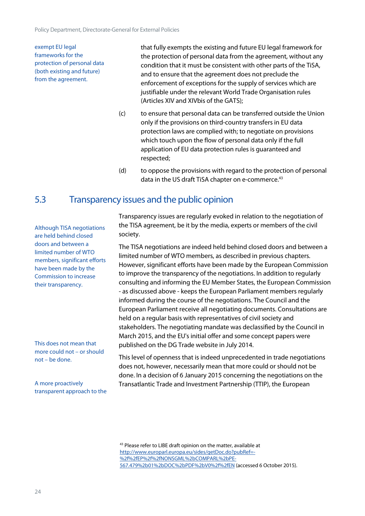exempt EU legal frameworks for the protection of personal data (both existing and future) from the agreement.

that fully exempts the existing and future EU legal framework for the protection of personal data from the agreement, without any condition that it must be consistent with other parts of the TiSA, and to ensure that the agreement does not preclude the enforcement of exceptions for the supply of services which are justifiable under the relevant World Trade Organisation rules (Articles XIV and XIVbis of the GATS);

- (c) to ensure that personal data can be transferred outside the Union only if the provisions on third-country transfers in EU data protection laws are complied with; to negotiate on provisions which touch upon the flow of personal data only if the full application of EU data protection rules is guaranteed and respected;
- (d) to oppose the provisions with regard to the protection of personal data in the US draft TiSA chapter on e-commerce.<sup>43</sup>

### <span id="page-23-0"></span>5.3 Transparency issues and the public opinion

Although TISA negotiations are held behind closed doors and between a limited number of WTO members, significant efforts have been made by the Commission to increase their transparency.

This does not mean that more could not – or should not – be done.

A more proactively transparent approach to the Transparency issues are regularly evoked in relation to the negotiation of the TISA agreement, be it by the media, experts or members of the civil society.

The TISA negotiations are indeed held behind closed doors and between a limited number of WTO members, as described in previous chapters. However, significant efforts have been made by the European Commission to improve the transparency of the negotiations. In addition to regularly consulting and informing the EU Member States, the European Commission - as discussed above - keeps the European Parliament members regularly informed during the course of the negotiations. The Council and the European Parliament receive all negotiating documents. Consultations are held on a regular basis with representatives of civil society and stakeholders. The negotiating mandate was declassified by the Council in March 2015, and the EU's initial offer and some concept papers were published on the DG Trade website in July 2014.

This level of openness that is indeed unprecedented in trade negotiations does not, however, necessarily mean that more could or should not be done. In a decision of 6 January 2015 concerning the negotiations on the Transatlantic Trade and Investment Partnership (TTIP), the European

<sup>43</sup> Please refer to LIBE draft opinion on the matter, available at [http://www.europarl.europa.eu/sides/getDoc.do?pubRef=-](http://www.europarl.europa.eu/sides/getDoc.do?pubRef=-%2f%2fEP%2f%2fNONSGML%2bCOMPARL%2bPE-567.479%2b01%2bDOC%2bPDF%2bV0%2f%2fEN) [%2f%2fEP%2f%2fNONSGML%2bCOMPARL%2bPE-](http://www.europarl.europa.eu/sides/getDoc.do?pubRef=-%2f%2fEP%2f%2fNONSGML%2bCOMPARL%2bPE-567.479%2b01%2bDOC%2bPDF%2bV0%2f%2fEN) [567.479%2b01%2bDOC%2bPDF%2bV0%2f%2fEN](http://www.europarl.europa.eu/sides/getDoc.do?pubRef=-%2f%2fEP%2f%2fNONSGML%2bCOMPARL%2bPE-567.479%2b01%2bDOC%2bPDF%2bV0%2f%2fEN) (accessed 6 October 2015).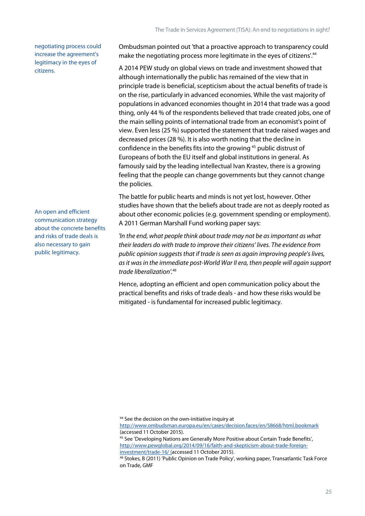negotiating process could increase the agreement's legitimacy in the eyes of citizens.

An open and efficient communication strategy about the concrete benefits and risks of trade deals is also necessary to gain public legitimacy.

Ombudsman pointed out 'that a proactive approach to transparency could make the negotiating process more legitimate in the eyes of citizens'.<sup>44</sup>

A 2014 PEW study on global views on trade and investment showed that although internationally the public has remained of the view that in principle trade is beneficial, scepticism about the actual benefits of trade is on the rise, particularly in advanced economies. While the vast majority of populations in advanced economies thought in 2014 that trade was a good thing, only 44 % of the respondents believed that trade created jobs, one of the main selling points of international trade from an economist's point of view. Even less (25 %) supported the statement that trade raised wages and decreased prices (28 %). It is also worth noting that the decline in confidence in the benefits fits into the growing<sup>45</sup> public distrust of Europeans of both the EU itself and global institutions in general. As famously said by the leading intellectual Ivan Krastev, there is a growing feeling that the people can change governments but they cannot change the policies.

The battle for public hearts and minds is not yet lost, however. Other studies have shown that the beliefs about trade are not as deeply rooted as about other economic policies (e.g. government spending or employment). A 2011 German Marshall Fund working paper says:

*'In the end, what people think about trade may not be as important as what their leaders do with trade to improve their citizens' lives. The evidence from public opinion suggests that if trade is seen as again improving people's lives, as it was in the immediate post-World War II era, then people will again support trade liberalization'.<sup>46</sup>*

<span id="page-24-0"></span>Hence, adopting an efficient and open communication policy about the practical benefits and risks of trade deals - and how these risks would be mitigated - is fundamental for increased public legitimacy.

<sup>44</sup> See the decision on the own-initiative inquiry at

<http://www.ombudsman.europa.eu/en/cases/decision.faces/en/58668/html.bookmark> (accessed 11 October 2015).

<sup>45</sup> See 'Developing Nations are Generally More Positive about Certain Trade Benefits', [http://www.pewglobal.org/2014/09/16/faith-and-skepticism-about-trade-foreign](http://www.pewglobal.org/2014/09/16/faith-and-skepticism-about-trade-foreign-investment/trade-16/)[investment/trade-16/](http://www.pewglobal.org/2014/09/16/faith-and-skepticism-about-trade-foreign-investment/trade-16/) (accessed 11 October 2015).

<sup>46</sup> Stokes, B (2011) 'Public Opinion on Trade Policy', working paper, Transatlantic Task Force on Trade, GMF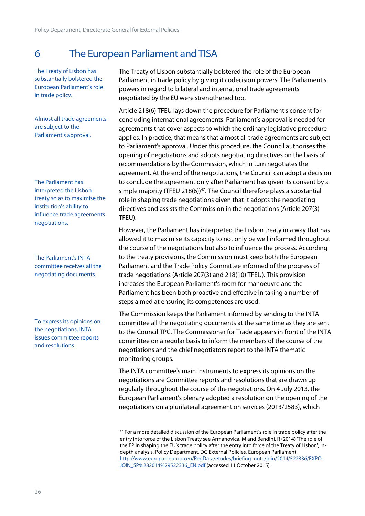### 6 The European Parliament andTISA

The Treaty of Lisbon has substantially bolstered the European Parliament's role in trade policy.

Almost all trade agreements are subject to the Parliament's approval.

The Parliament has interpreted the Lisbon treaty so as to maximise the institution's ability to influence trade agreements negotiations.

The Parliament's INTA committee receives all the negotiating documents.

To express its opinions on the negotiations, INTA issues committee reports and resolutions.

The Treaty of Lisbon substantially bolstered the role of the European Parliament in trade policy by giving it codecision powers. The Parliament's powers in regard to bilateral and international trade agreements negotiated by the EU were strengthened too.

Article 218(6) TFEU lays down the procedure for Parliament's consent for concluding international agreements. Parliament's approval is needed for agreements that cover aspects to which the ordinary legislative procedure applies. In practice, that means that almost all trade agreements are subject to Parliament's approval. Under this procedure, the Council authorises the opening of negotiations and adopts negotiating directives on the basis of recommendations by the Commission, which in turn negotiates the agreement. At the end of the negotiations, the Council can adopt a decision to conclude the agreement only after Parliament has given its consent by a simple majority (TFEU 218(6))<sup>47</sup>. The Council therefore plays a substantial role in shaping trade negotiations given that it adopts the negotiating directives and assists the Commission in the negotiations (Article 207(3) TFEU).

However, the Parliament has interpreted the Lisbon treaty in a way that has allowed it to maximise its capacity to not only be well informed throughout the course of the negotiations but also to influence the process. According to the treaty provisions, the Commission must keep both the European Parliament and the Trade Policy Committee informed of the progress of trade negotiations (Article 207(3) and 218(10) TFEU). This provision increases the European Parliament's room for manoeuvre and the Parliament has been both proactive and effective in taking a number of steps aimed at ensuring its competences are used.

The Commission keeps the Parliament informed by sending to the INTA committee all the negotiating documents at the same time as they are sent to the Council TPC. The Commissioner for Trade appears in front of the INTA committee on a regular basis to inform the members of the course of the negotiations and the chief negotiators report to the INTA thematic monitoring groups.

The INTA committee's main instruments to express its opinions on the negotiations are Committee reports and resolutions that are drawn up regularly throughout the course of the negotiations. On 4 July 2013, the European Parliament's plenary adopted a resolution on the opening of the negotiations on a plurilateral agreement on services (2013/2583), which

<sup>47</sup> For a more detailed discussion of the European Parliament's role in trade policy after the entry into force of the Lisbon Treaty see Armanovica, M and Bendini, R (2014) 'The role of the EP in shaping the EU's trade policy after the entry into force of the Treaty of Lisbon', in depth analysis, Policy Department, DG External Policies, European Parliament, [http://www.europarl.europa.eu/RegData/etudes/briefing\\_note/join/2014/522336/EXPO-](http://www.europarl.europa.eu/RegData/etudes/briefing_note/join/2014/522336/EXPO-JOIN_SP%282014%29522336_EN.pdf) [JOIN\\_SP%282014%29522336\\_EN.pdf](http://www.europarl.europa.eu/RegData/etudes/briefing_note/join/2014/522336/EXPO-JOIN_SP%282014%29522336_EN.pdf) (accessed 11 October 2015).